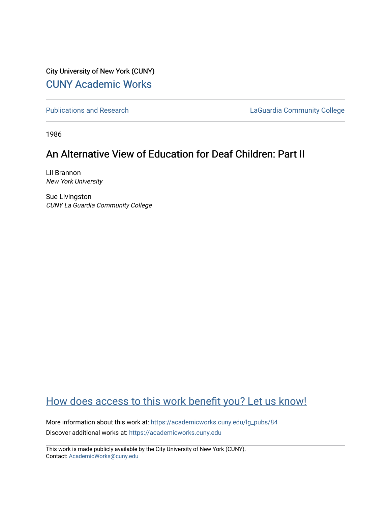City University of New York (CUNY) [CUNY Academic Works](https://academicworks.cuny.edu/) 

[Publications and Research](https://academicworks.cuny.edu/lg_pubs) **LaGuardia Community College** 

1986

## An Alternative View of Education for Deaf Children: Part II

Lil Brannon New York University

Sue Livingston CUNY La Guardia Community College

## [How does access to this work benefit you? Let us know!](http://ols.cuny.edu/academicworks/?ref=https://academicworks.cuny.edu/lg_pubs/84)

More information about this work at: [https://academicworks.cuny.edu/lg\\_pubs/84](https://academicworks.cuny.edu/lg_pubs/84)  Discover additional works at: [https://academicworks.cuny.edu](https://academicworks.cuny.edu/?)

This work is made publicly available by the City University of New York (CUNY). Contact: [AcademicWorks@cuny.edu](mailto:AcademicWorks@cuny.edu)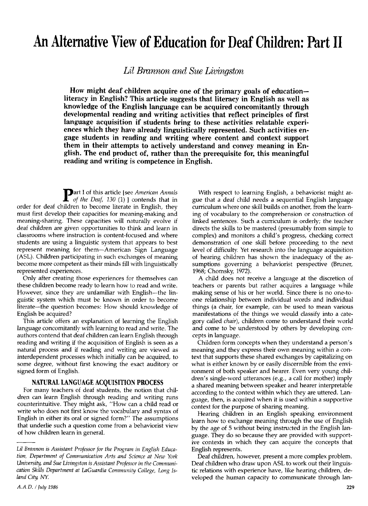# An Alternative View of Education for Deaf Children: Part II

Lil Brannon and Sue Livingston

How might deaf children acquire one of the primary goals of educationliteracy in English? This article suggests that literacy in English as well as knowledge of the English language can be acquired concomitantly through developmental reading and writing activities that reflect principles of first language acquisition if students bring to these activities relatable experiences which they have already linguistically represented. Such activities engage students in reading and writing where content and context support them in their attempts to actively understand and convey meaning in English. The end product of, rather than the prerequisite for, this meaningful reading and writing is competence in English.

art I of this article [see *American Annals* of the Deaf,  $130(1)$  contends that in order for deaf children to become literate in English, they must first develop their capacities for meaning-making and meaning-sharing. These capacities will naturally evolve if deaf children are given opportunities to think and learn in classrooms where instruction is content-focused and where students are using a linguistic system that appears to best represent meaning for them—American Sign Language (ASL). Children participating in such exchanges of meaning become more competent as their minds fill with linguistically represented experiences.

Only after creating those experiences for themselves can these children become ready to learn how to read and write. However, since they are unfamiliar with English—the linguistic system which must be known in order to become literate—the question becomes: How should knowledge of English be acquired?

This article offers an explanation of learning the English language concomitantly with learning to read and write. The authors contend that deaf children can learn English through reading and writing if the acquisition of English is seen as a natural process and if reading and writing are viewed as interdependent processes which initially can be acquired, to some degree, without first knowing the exact auditory or signed form of English.

#### NATURAL LANGUAGE ACQUISITION PROCESS

For many teachers of deaf students, the notion that children can learn English through reading and writing runs counterintuitive. They might ask, "How can a child read or write who does not first know the vocabulary and syntax of English in either its oral or signed form?" The assumptions that underlie such a question come from a behaviorist view of how children learn in general.

With respect to learning English, a behaviorist might argue that a deaf child needs a sequential English language curriculum where one skill builds on another, from the learning of vocabulary to the comprehension or construction of linked sentences. Such a curriculum is orderly; the teacher directs the skills to be mastered (presumably from simple to complex) and monitors a child's progress, checking correct demonstration of one skill before proceeding to the next level of difficulty. Yet research into the language acquisition of hearing children has shown the inadequacy of the assumptions governing a behaviorist perspective (Bruner, 1968; Chomsky, 1972).

A child does not receive a language at the discretion of teachers or parents but rather acquires a language while making sense of his or her world. Since there is no one-toone relationship between individual words and individual things (a chair, for example, can be used to mean various manifestations of the things we would classify into a category called chair), children come to understand their world and come to be understood by others by developing concepts in language.

Children form concepts when they understand a person's meaning and they express their own meaning within a context that supports these shared exchanges by capitalizing on what is either known by or easily discernible from the environment of both speaker and hearer. Even very young children's single-word utterances (e.g., a call for mother) imply a shared meaning between speaker and hearer interpretable according to the context within which they are uttered. Language, then, is acquired when it is used within a supportive context for the purpose of sharing meaning.

Hearing children in an English speaking environment learn how to exchange meaning through the use of English by the age of 5 without being instructed in the English language. They do so because they are provided with supportive contexts in which they can acquire the concepts that English represents.

Deaf children, however, present a more complex problem. Deaf children who draw upon ASL to work out their linguistic relations with experience have, like hearing children, developed the human capacity to communicate through lan-

LiI Brannon is Assistant Professor for the Program in English Education, Department of Communication Arts and Science at New York University, and Sue Livingston is Assistant Professor in the Communication Skills Department at LaGuardia Community College, Long Island City, NY.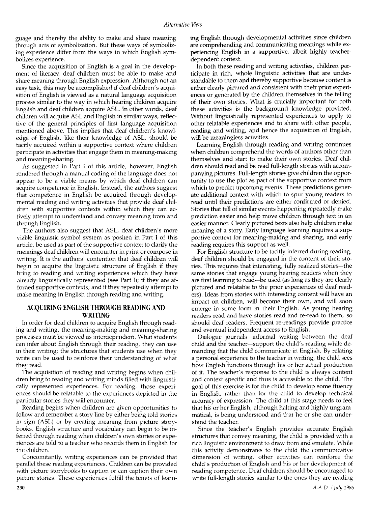guage and thereby the ability to make and share meaning through acts of symbolization. But these ways of symbolizing experience differ from the ways in which English symbolizes experience.

Since the acquisition of English is a goal in the development of literacy, deaf children must be able to make and share meaning through English expression. Although not an easy task, this may be accomplished if deaf children's acquisition of English is viewed as a natural language acquisition process similar to the way in which hearing children acquire English and deaf children acquire ASL. In other words, deaf children will acquire ASL and English in similar ways, reflective of the general principles of first language acquisition mentioned above. This implies that deaf children's knowledge of English, like their knowledge of ASL, should be tacitly acquired within a supportive context where children participate in activities that engage them in meaning-making and meaning-sharing.

As suggested in Part I of this article, however, English rendered through a manual coding of the language does not appear to be a viable means by which deaf children can acquire competence in English. Instead, the authors suggest that competence in English be acquired through developmental reading and writing activities that provide deaf children with supportive contexts within which they can actively attempt to understand and convey meaning from and through English.

The authors also suggest that ASL, deaf children's more viable linguistic symbol system as posited in Part I of this article, be used as part of the supportive context to clarify the meanings deaf children will encounter in print or compose in writing. It is the authors' contention that deaf children will begin to acquire the linguistic structure of English if they bring to reading and writing experiences which they have already linguistically represented (see Part I); if they are afforded supportive contexts; and if they repeatedly attempt to make meaning in English through reading and writing.

### ACQUIRING ENGLISH THROUGH READING AND WRITING

In order for deaf children to acquire English through reading and writing, the meaning-making and meaning-sharing processes must be viewed as interdependent. What students can infer about English through their reading, they can use in their writing; the structures that students use when they write can be used to reinforce their understanding of what they read.

The acquisition of reading and writing begins when children bring to reading and writing minds filled with linguistically represented experiences. For reading, those experiences should be relatable to the experiences depicted in the particular stories they will encounter.

Reading begins when children are given opportunities to follow and remember a story line by either being told stories in sign (ASL) or by creating meaning from picture storybooks. English structure and vocabulary can begin to be inferred through reading when children's own stories or experiences are told to a teacher who records them in English for the children.

Concomitantly, writing experiences can be provided that parallel these reading experiences. Children can be provided with picture storybooks to caption or can caption their own picture stories. These experiences fulfill the tenets of learning English through developmental activities since children are comprehending and communicating meanings while experiencing English in a supportive, albeit highly teacherdependent context.

In both these reading and writing activities, children participate in rich, whole linguistic activities that are understandable to them and thereby supportive because content is either clearly pictured and consistent with their prior experiences or generated by the children themselves in the telling of their own stories. What is crucially important for both these activities is the background knowledge provided. Without linguistically represented experiences to apply to other relatable experiences and to share with other people, reading and writing, and hence the acquisition of English, will be meaningless activities.

Learning English through reading and writing continues when children comprehend the words of authors other than themselves and start to make their own stories. Deaf children should read and be read full-length stories with accompanying pictures. Full-length stories give children the opportunity to use the plot as part of the supportive context from which to predict upcoming events. These predictions generate additional context with which to spur young readers to read until their predictions are either confirmed or denied. Stories that tell of similar events happening repeatedly make prediction easier and help move children through text in an easier manner. Clearly pictured texts also help children make meaning of a story. Early language learning requires a supportive context for meaning-making and sharing, and early reading requires this support as well.

For English structure to be tacitly inferred during reading, deaf children should be engaged in the content of their stories. This requires that interesting, fully realized stories—the same stories that engage young hearing readers when they are first learning to read—be used (as long as they are clearly pictured and relatable to the prior experiences of deaf readers). Ideas from stories with interesting content will have an impact on children, will become their own, and will soon emerge in some form in their English. As young hearing readers read and have stories read and re-read to them, so should deaf readers. Frequent re-readings provide practice and eventual independent access to English.

Dialogue journals—informal writing between the deaf child and the teacher—support the child's reading while demanding that the child communicate in English. By relating a personal experience to the teacher in writing, the child sees how English functions through his or her actual production of it. The teacher's response to the child is always content and context specific and thus is accessible to the child. The goal of this exercise is for the child to develop some fluency in English, rather than for the child to develop technical accuracy of expression. The child at this stage needs to feel that his or her English, although halting and highly ungrammatical, is being understood and that he or she can understand the teacher.

Since the teacher's English provides accurate English structures that convey meaning, the child is provided with a rich linguistic environment to draw from and emulate. While this activity demonstrates to the child the communicative dimension of writing, other activities can reinforce the child's production of English and his or her development of reading competence. Deaf children should be encouraged to write full-length stories similar to the ones they are reading